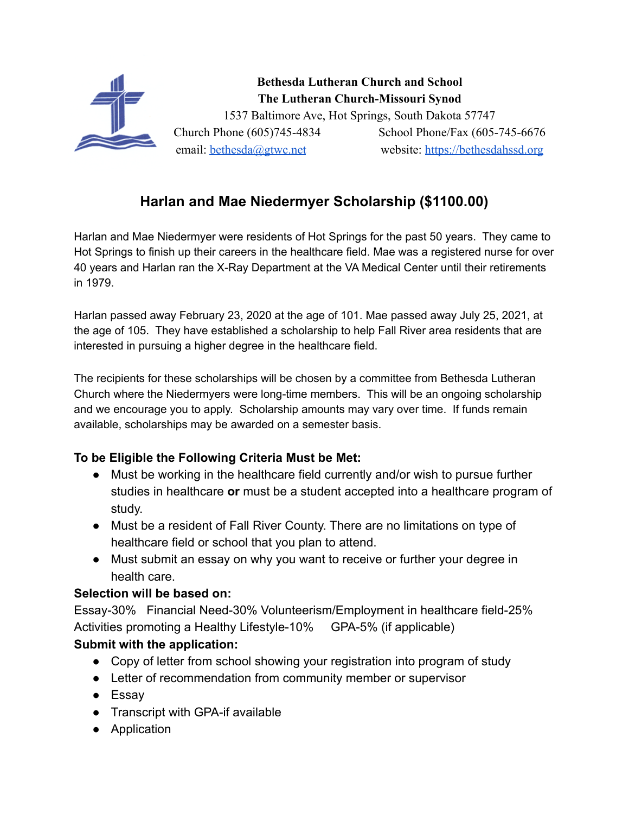

## **Harlan and Mae Niedermyer Scholarship (\$1100.00)**

Harlan and Mae Niedermyer were residents of Hot Springs for the past 50 years. They came to Hot Springs to finish up their careers in the healthcare field. Mae was a registered nurse for over 40 years and Harlan ran the X-Ray Department at the VA Medical Center until their retirements in 1979.

Harlan passed away February 23, 2020 at the age of 101. Mae passed away July 25, 2021, at the age of 105. They have established a scholarship to help Fall River area residents that are interested in pursuing a higher degree in the healthcare field.

The recipients for these scholarships will be chosen by a committee from Bethesda Lutheran Church where the Niedermyers were long-time members. This will be an ongoing scholarship and we encourage you to apply. Scholarship amounts may vary over time. If funds remain available, scholarships may be awarded on a semester basis.

## **To be Eligible the Following Criteria Must be Met:**

- Must be working in the healthcare field currently and/or wish to pursue further studies in healthcare **or** must be a student accepted into a healthcare program of study.
- Must be a resident of Fall River County. There are no limitations on type of healthcare field or school that you plan to attend.
- Must submit an essay on why you want to receive or further your degree in health care.

## **Selection will be based on:**

Essay-30% Financial Need-30% Volunteerism/Employment in healthcare field-25% Activities promoting a Healthy Lifestyle-10% GPA-5% (if applicable) **Submit with the application:**

- Copy of letter from school showing your registration into program of study
- Letter of recommendation from community member or supervisor
- Essay
- Transcript with GPA-if available
- Application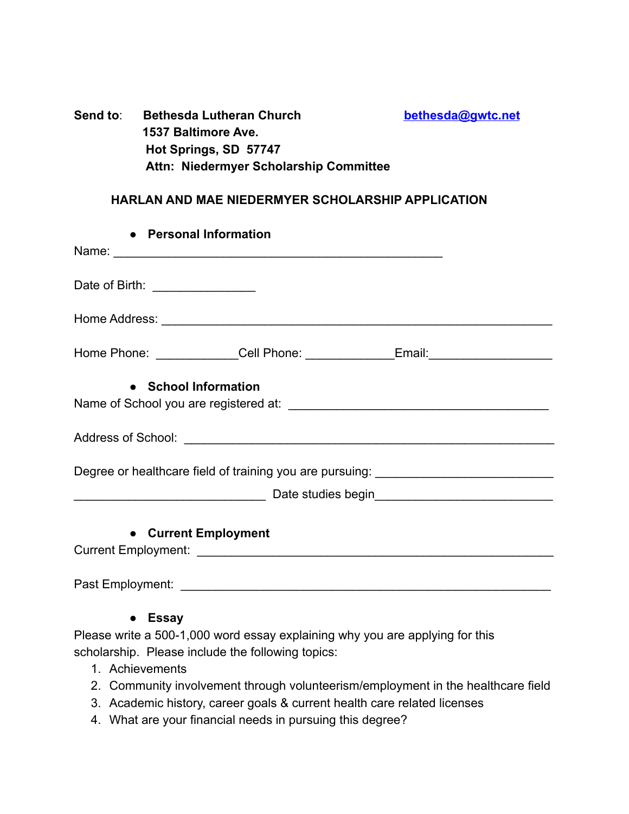| Send to: | <b>Bethesda Lutheran Church</b>        | bethesda@gwtc.net |
|----------|----------------------------------------|-------------------|
|          | 1537 Baltimore Ave.                    |                   |
|          | Hot Springs, SD 57747                  |                   |
|          | Attn: Niedermyer Scholarship Committee |                   |

## **HARLAN AND MAE NIEDERMYER SCHOLARSHIP APPLICATION**

| • Personal Information           |                                                                                  |  |  |  |  |
|----------------------------------|----------------------------------------------------------------------------------|--|--|--|--|
|                                  | Name:                                                                            |  |  |  |  |
| Date of Birth: _________________ |                                                                                  |  |  |  |  |
|                                  |                                                                                  |  |  |  |  |
|                                  | Home Phone: ______________Cell Phone: _______________Email: ____________________ |  |  |  |  |
| • School Information             |                                                                                  |  |  |  |  |
|                                  |                                                                                  |  |  |  |  |
|                                  | Degree or healthcare field of training you are pursuing: _______________________ |  |  |  |  |
|                                  |                                                                                  |  |  |  |  |
| • Current Employment             |                                                                                  |  |  |  |  |
|                                  |                                                                                  |  |  |  |  |

● **Essay**

Please write a 500-1,000 word essay explaining why you are applying for this scholarship. Please include the following topics:

- 1. Achievements
- 2. Community involvement through volunteerism/employment in the healthcare field
- 3. Academic history, career goals & current health care related licenses
- 4. What are your financial needs in pursuing this degree?